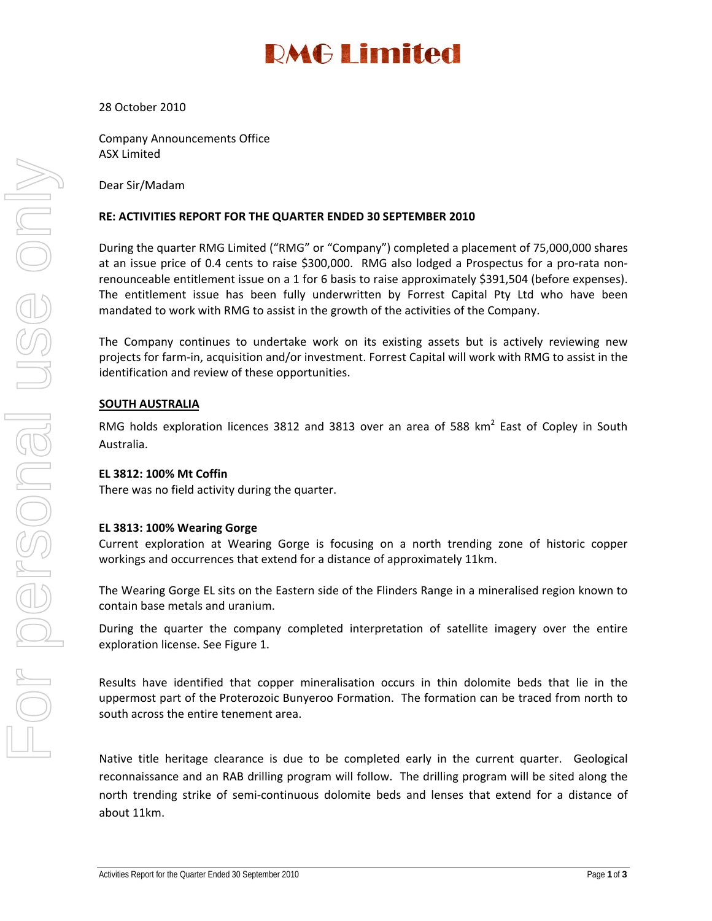## **DMG I imited**

#### 28 October 2010

Company Announcements Office ASX Limited

Dear Sir/Madam

#### **RE: ACTIVITIES REPORT FOR THE QUARTER ENDED 30 SEPTEMBER 2010**

During the quarter RMG Limited ("RMG" or "Company") completed a placement of 75,000,000 shares at an issue price of 0.4 cents to raise \$300,000. RMG also lodged a Prospectus for a pro-rata nonrenounceable entitlement issue on a 1 for 6 basis to raise approximately \$391,504 (before expenses). The entitlement issue has been fully underwritten by Forrest Capital Pty Ltd who have been mandated to work with RMG to assist in the growth of the activities of the Company.

The Company continues to undertake work on its existing assets but is actively reviewing new projects for farm‐in, acquisition and/or investment. Forrest Capital will work with RMG to assist in the identification and review of these opportunities.

#### **SOUTH AUSTRALIA**

RMG holds exploration licences 3812 and 3813 over an area of 588 km<sup>2</sup> East of Copley in South Australia.

#### **EL 3812: 100% Mt Coffin**

There was no field activity during the quarter.

#### **EL 3813: 100% Wearing Gorge**

Current exploration at Wearing Gorge is focusing on a north trending zone of historic copper workings and occurrences that extend for a distance of approximately 11km.

The Wearing Gorge EL sits on the Eastern side of the Flinders Range in a mineralised region known to contain base metals and uranium.

During the quarter the company completed interpretation of satellite imagery over the entire exploration license. See Figure 1.

Results have identified that copper mineralisation occurs in thin dolomite beds that lie in the uppermost part of the Proterozoic Bunyeroo Formation. The formation can be traced from north to south across the entire tenement area.

Native title heritage clearance is due to be completed early in the current quarter. Geological reconnaissance and an RAB drilling program will follow. The drilling program will be sited along the north trending strike of semi‐continuous dolomite beds and lenses that extend for a distance of about 11km.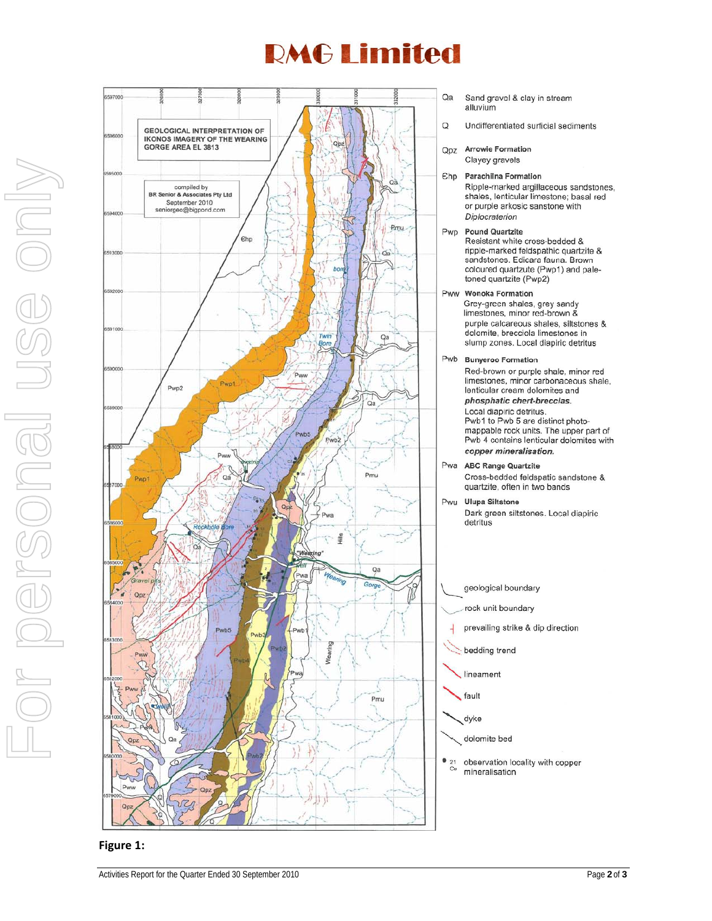## **RMG Limited**



- Sand gravel & clay in stream alluvium
- Undifferentiated surficial sediments

**Arrowie Formation** 

Clayey gravels

Ehp Parachilna Formation Ripple-marked argillaceous sandstones, shales, lenticular limestone; basal red or purple arkosic sanstone with Diplocraterion

Pwp Pound Quartzite Resistant white cross-bedded & ripple-marked feldspathic quartzite & sandstones. Edicara fauna. Brown coloured quartzute (Pwp1) and paletoned quartzite (Pwp2)

Pww Wonoka Formation Grey-green shales, grey sandy limestones, minor red-brown & purple calcareous shales, siltstones & dolomite, brecciola limestones in slump zones. Local diapiric detritus

Pwb Bunyeroo Formation Red-brown or purple shale, minor red limestones, minor carbonaceous shale, lenticular cream dolomites and phosphatic chert-breccias. Local diapiric detritus.

Pwb1 to Pwb 5 are distinct photomappable rock units. The upper part of Pwb 4 contains lenticular dolomites with copper mineralisation.

Pwa ABC Range Quartzite Cross-bedded feldspatic sandstone & quartzite, often in two bands

Pwu Ulupa Siltstone Dark green siltstones. Local diapiric detritus

geological boundary

rock unit boundary

prevailing strike & dip direction

- bedding trend
- lineament

fault

dyke

dolomite bed

 $\bullet$  21 observation locality with copper mineralisation

For personal use only**MIDIO**  $\frac{1}{\sqrt{1}}$ 

**Figure 1:**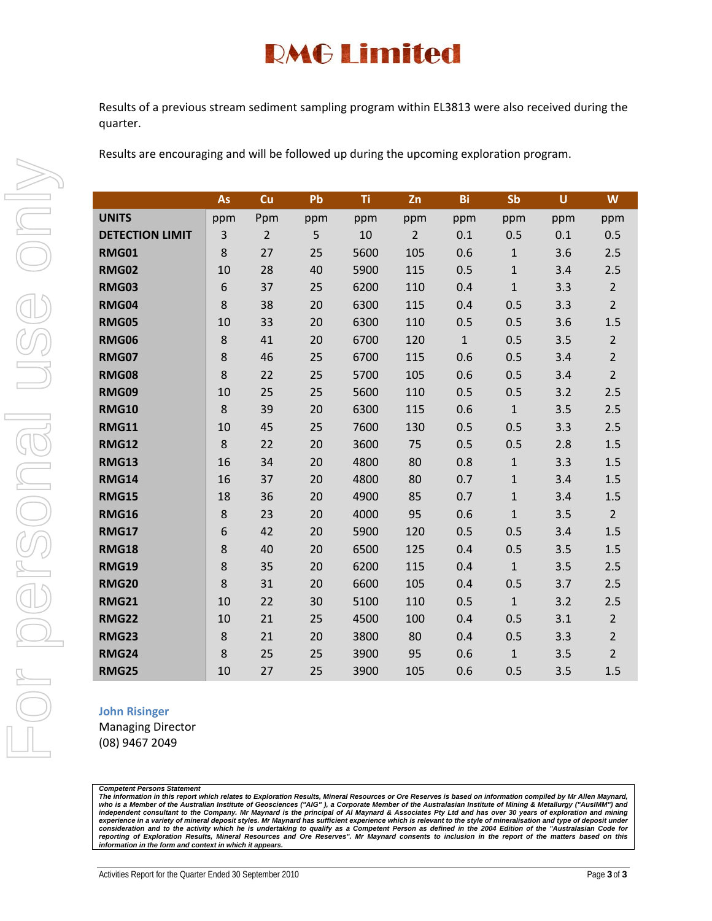## **RMG Limited**

Results of a previous stream sediment sampling program within EL3813 were also received during the quarter.

Results are encouraging and will be followed up during the upcoming exploration program.

|                        | As      | Cu             | Pb  | Ti   | Zn             | Bi           | Sb           | $\mathsf U$ | W              |
|------------------------|---------|----------------|-----|------|----------------|--------------|--------------|-------------|----------------|
| <b>UNITS</b>           | ppm     | Ppm            | ppm | ppm  | ppm            | ppm          | ppm          | ppm         | ppm            |
| <b>DETECTION LIMIT</b> | 3       | $\overline{2}$ | 5   | 10   | $\overline{2}$ | 0.1          | 0.5          | 0.1         | 0.5            |
| <b>RMG01</b>           | 8       | 27             | 25  | 5600 | 105            | 0.6          | $\mathbf{1}$ | 3.6         | 2.5            |
| <b>RMG02</b>           | 10      | 28             | 40  | 5900 | 115            | 0.5          | $\mathbf 1$  | 3.4         | 2.5            |
| <b>RMG03</b>           | 6       | 37             | 25  | 6200 | 110            | 0.4          | $\mathbf{1}$ | 3.3         | $\overline{2}$ |
| <b>RMG04</b>           | 8       | 38             | 20  | 6300 | 115            | 0.4          | 0.5          | 3.3         | $\overline{2}$ |
| <b>RMG05</b>           | 10      | 33             | 20  | 6300 | 110            | 0.5          | 0.5          | 3.6         | 1.5            |
| <b>RMG06</b>           | 8       | 41             | 20  | 6700 | 120            | $\mathbf{1}$ | 0.5          | 3.5         | $\overline{2}$ |
| <b>RMG07</b>           | 8       | 46             | 25  | 6700 | 115            | 0.6          | 0.5          | 3.4         | $\overline{2}$ |
| <b>RMG08</b>           | 8       | 22             | 25  | 5700 | 105            | 0.6          | 0.5          | 3.4         | $\overline{2}$ |
| <b>RMG09</b>           | 10      | 25             | 25  | 5600 | 110            | 0.5          | 0.5          | 3.2         | 2.5            |
| <b>RMG10</b>           | 8       | 39             | 20  | 6300 | 115            | 0.6          | $\mathbf{1}$ | 3.5         | 2.5            |
| <b>RMG11</b>           | 10      | 45             | 25  | 7600 | 130            | 0.5          | 0.5          | 3.3         | 2.5            |
| <b>RMG12</b>           | 8       | 22             | 20  | 3600 | 75             | 0.5          | 0.5          | 2.8         | 1.5            |
| <b>RMG13</b>           | 16      | 34             | 20  | 4800 | 80             | 0.8          | $1\,$        | 3.3         | 1.5            |
| <b>RMG14</b>           | 16      | 37             | 20  | 4800 | 80             | 0.7          | $\mathbf{1}$ | 3.4         | 1.5            |
| <b>RMG15</b>           | 18      | 36             | 20  | 4900 | 85             | 0.7          | $\mathbf 1$  | 3.4         | 1.5            |
| <b>RMG16</b>           | 8       | 23             | 20  | 4000 | 95             | 0.6          | $\mathbf{1}$ | 3.5         | 2 <sup>1</sup> |
| <b>RMG17</b>           | 6       | 42             | 20  | 5900 | 120            | 0.5          | 0.5          | 3.4         | 1.5            |
| <b>RMG18</b>           | 8       | 40             | 20  | 6500 | 125            | 0.4          | 0.5          | 3.5         | 1.5            |
| <b>RMG19</b>           | 8       | 35             | 20  | 6200 | 115            | 0.4          | $\mathbf{1}$ | 3.5         | 2.5            |
| <b>RMG20</b>           | 8       | 31             | 20  | 6600 | 105            | 0.4          | 0.5          | 3.7         | 2.5            |
| <b>RMG21</b>           | 10      | 22             | 30  | 5100 | 110            | 0.5          | $\mathbf{1}$ | 3.2         | 2.5            |
| <b>RMG22</b>           | 10      | 21             | 25  | 4500 | 100            | 0.4          | 0.5          | 3.1         | $\overline{2}$ |
| <b>RMG23</b>           | $\bf 8$ | 21             | 20  | 3800 | 80             | 0.4          | 0.5          | 3.3         | $\overline{2}$ |
| <b>RMG24</b>           | 8       | 25             | 25  | 3900 | 95             | 0.6          | $\mathbf{1}$ | 3.5         | $\overline{2}$ |
| <b>RMG25</b>           | 10      | 27             | 25  | 3900 | 105            | 0.6          | 0.5          | 3.5         | 1.5            |

#### **John Risinger**

Managing Director (08) 9467 2049

#### *Competent Persons Statement*

*The information in this report which relates to Exploration Results, Mineral Resources or Ore Reserves is based on information compiled by Mr Allen Maynard,*  who is a Member of the Australian Institute of Geosciences ("AIG" ), a Corporate Member of the Australasian Institute of Mining & Metallurgy ("AuslMM") and<br>independent consultant to the Company. Mr Maynard is the principal *information in the form and context in which it appears.*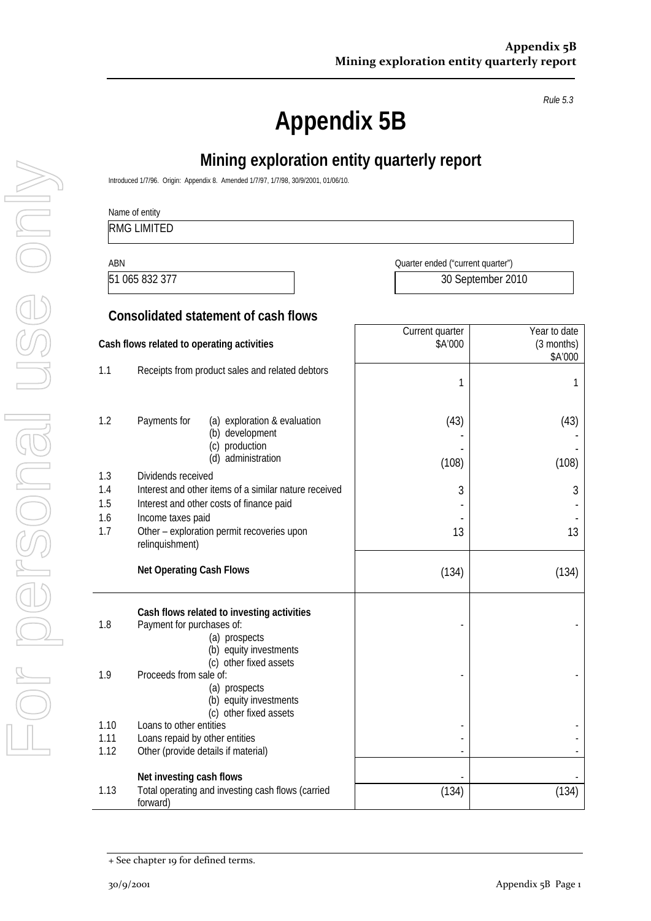*Rule 5.3* 

# **Appendix 5B**

|                   | Name of entity<br><b>RMG LIMITED</b>                                                                                    |                                   |                                       |
|-------------------|-------------------------------------------------------------------------------------------------------------------------|-----------------------------------|---------------------------------------|
| <b>ABN</b>        |                                                                                                                         | Quarter ended ("current quarter") |                                       |
|                   | 51 065 832 377                                                                                                          | 30 September 2010                 |                                       |
|                   | <b>Consolidated statement of cash flows</b>                                                                             |                                   |                                       |
|                   | Cash flows related to operating activities                                                                              | Current quarter<br>\$A'000        | Year to date<br>(3 months)<br>\$A'000 |
| 1.1               | Receipts from product sales and related debtors                                                                         | 1                                 |                                       |
| 1.2               | Payments for<br>(a) exploration & evaluation<br>(b) development<br>(c) production                                       | (43)                              | (43)                                  |
|                   | (d) administration                                                                                                      | (108)                             | (108)                                 |
| 1.3<br>1.4<br>1.5 | Dividends received<br>Interest and other items of a similar nature received<br>Interest and other costs of finance paid | 3                                 |                                       |
| 1.6<br>1.7        | Income taxes paid<br>Other - exploration permit recoveries upon<br>relinquishment)                                      | 13                                | 13                                    |
|                   | <b>Net Operating Cash Flows</b>                                                                                         | (134)                             | (134)                                 |
| 1.8               | Cash flows related to investing activities<br>Payment for purchases of:<br>(a) prospects<br>(b) equity investments      |                                   |                                       |
| 1.9               | (c) other fixed assets<br>Proceeds from sale of:<br>(a) prospects<br>(b) equity investments<br>(c) other fixed assets   |                                   |                                       |
| 1.10<br>1.11      | Loans to other entities<br>Loans repaid by other entities                                                               |                                   |                                       |
| 1.12              | Other (provide details if material)                                                                                     | $\qquad \qquad \blacksquare$      |                                       |

<sup>+</sup> See chapter 19 for defined terms.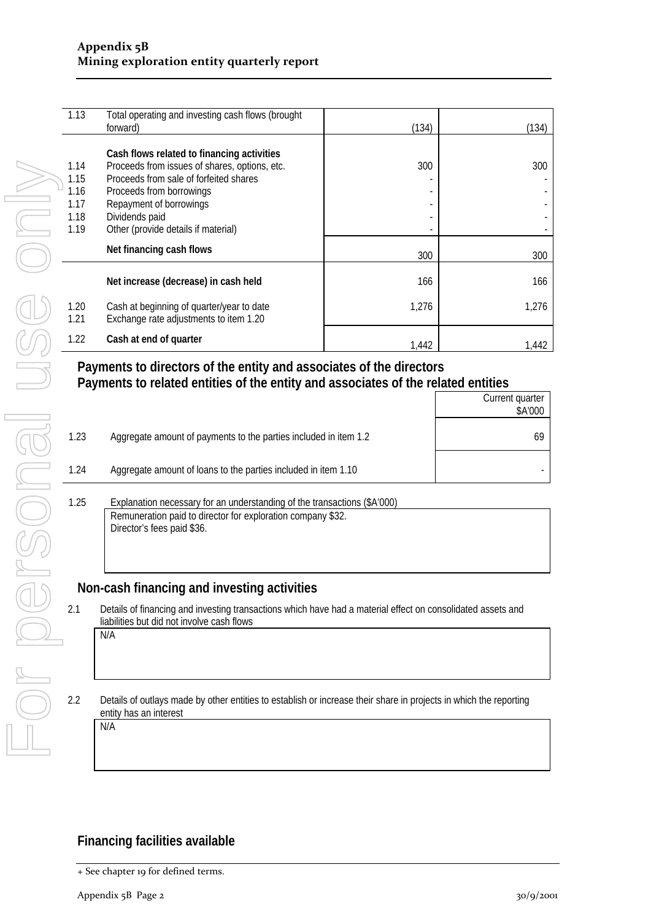| 1.13                                         | Total operating and investing cash flows (brought<br>forward)                                                                                                                                                                                         | (134) | (134) |
|----------------------------------------------|-------------------------------------------------------------------------------------------------------------------------------------------------------------------------------------------------------------------------------------------------------|-------|-------|
| 1.14<br>1.15<br>1.16<br>1.17<br>1.18<br>1.19 | Cash flows related to financing activities<br>Proceeds from issues of shares, options, etc.<br>Proceeds from sale of forfeited shares<br>Proceeds from borrowings<br>Repayment of borrowings<br>Dividends paid<br>Other (provide details if material) | 300   | 300   |
|                                              | Net financing cash flows                                                                                                                                                                                                                              | 300   | 300   |
|                                              | Net increase (decrease) in cash held                                                                                                                                                                                                                  | 166   | 166   |
| 1.20<br>1.21                                 | Cash at beginning of quarter/year to date<br>Exchange rate adjustments to item 1.20                                                                                                                                                                   | 1,276 | 1,276 |
| 1.22                                         | Cash at end of quarter                                                                                                                                                                                                                                | 1,442 | 1,442 |

#### **Payments to directors of the entity and associates of the directors Payments to related entities of the entity and associates of the related entities**  Current quarter

|      |                                                                                      | \$A'000 |
|------|--------------------------------------------------------------------------------------|---------|
| 1.23 | Aggregate amount of payments to the parties included in item 1.2                     |         |
| 1.24 | Aggregate amount of loans to the parties included in item 1.10                       |         |
| 1 25 | Explanation peressary for an understanding of the transactions $(\&\Delta/\Omega_0)$ |         |

#### 1.25 Explanation necessary for an understanding of the transactions (\$A'000) Remuneration paid to director for exploration company \$32. Director's fees paid \$36.

### **Non-cash financing and investing activities**

- 2.1 Details of financing and investing transactions which have had a material effect on consolidated assets and liabilities but did not involve cash flows N/A
- 2.2 Details of outlays made by other entities to establish or increase their share in projects in which the reporting entity has an interest

N/A

### **Financing facilities available**

<sup>+</sup> See chapter 19 for defined terms.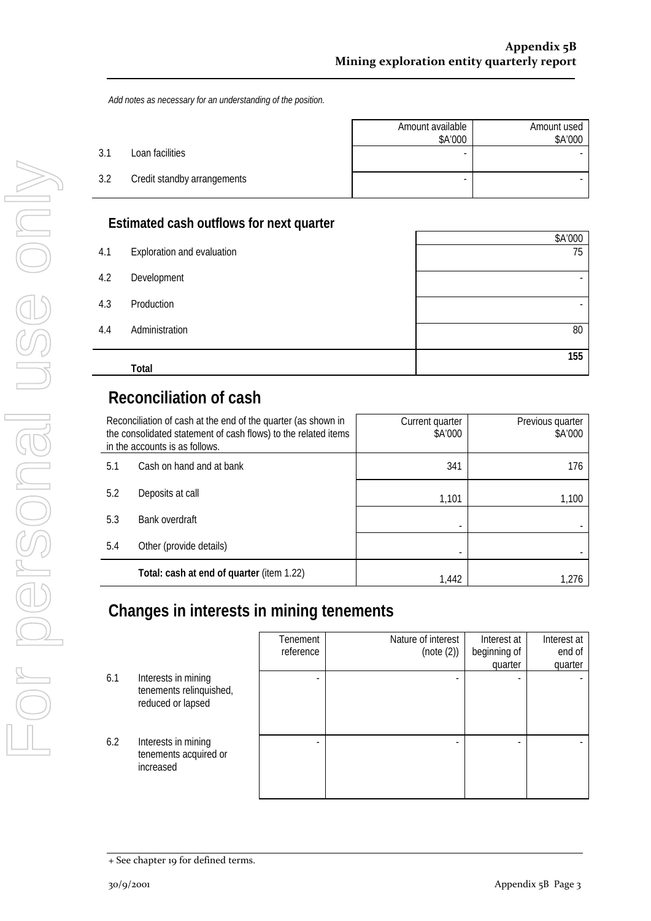*Add notes as necessary for an understanding of the position.* 

|     |                             | Amount available<br>\$A'000 | Amount used<br>\$A'000 |
|-----|-----------------------------|-----------------------------|------------------------|
| 3.1 | Loan facilities             |                             |                        |
| 3.2 | Credit standby arrangements |                             |                        |

### **Estimated cash outflows for next quarter**

|     |                            | \$A'000 |
|-----|----------------------------|---------|
| 4.1 | Exploration and evaluation | 75      |
| 4.2 | Development                |         |
| 4.3 | Production                 |         |
| 4.4 | Administration             | 80      |
|     | Total                      | 155     |

## **Reconciliation of cash**

| Reconciliation of cash at the end of the quarter (as shown in<br>the consolidated statement of cash flows) to the related items<br>in the accounts is as follows. |                                           | Current quarter<br>\$A'000 | Previous quarter<br>\$A'000 |
|-------------------------------------------------------------------------------------------------------------------------------------------------------------------|-------------------------------------------|----------------------------|-----------------------------|
| 5.1                                                                                                                                                               | Cash on hand and at bank                  | 341                        | 176                         |
| 5.2                                                                                                                                                               | Deposits at call                          | 1,101                      | 1,100                       |
| 5.3                                                                                                                                                               | Bank overdraft                            |                            |                             |
| 5.4                                                                                                                                                               | Other (provide details)                   |                            |                             |
|                                                                                                                                                                   | Total: cash at end of quarter (item 1.22) | 1.442                      | 1.276                       |

## **Changes in interests in mining tenements**

|     |                                                                     | Tenement<br>reference | Nature of interest<br>(note (2)) | Interest at<br>beginning of<br>quarter | Interest at<br>end of<br>quarter |
|-----|---------------------------------------------------------------------|-----------------------|----------------------------------|----------------------------------------|----------------------------------|
| 6.1 | Interests in mining<br>tenements relinquished,<br>reduced or lapsed |                       |                                  |                                        |                                  |
| 6.2 | Interests in mining<br>tenements acquired or<br>increased           |                       |                                  |                                        |                                  |

<sup>+</sup> See chapter 19 for defined terms.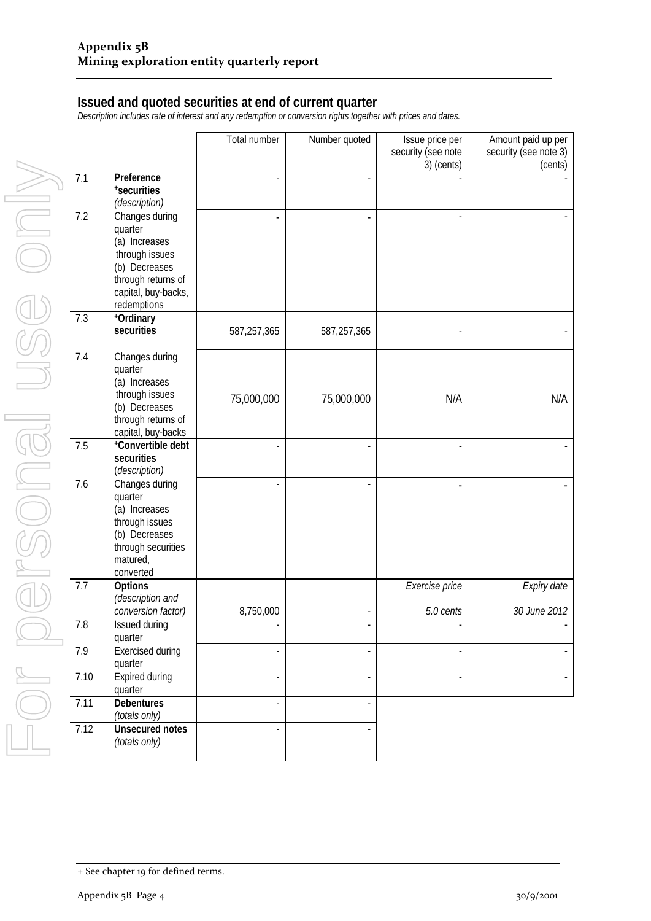#### **Issued and quoted securities at end of current quarter**

*Description includes rate of interest and any redemption or conversion rights together with prices and dates.* 

|         |                                                                                                                              | Total number | Number quoted | Issue price per<br>security (see note<br>3) (cents) | Amount paid up per<br>security (see note 3)<br>(cents) |
|---------|------------------------------------------------------------------------------------------------------------------------------|--------------|---------------|-----------------------------------------------------|--------------------------------------------------------|
| 7.1     | Preference<br>*securities<br>(description)                                                                                   |              |               |                                                     |                                                        |
| 7.2     | Changes during<br>quarter                                                                                                    |              |               |                                                     |                                                        |
|         | (a) Increases<br>through issues<br>(b) Decreases                                                                             |              |               |                                                     |                                                        |
|         | through returns of<br>capital, buy-backs,<br>redemptions                                                                     |              |               |                                                     |                                                        |
| 7.3     | +Ordinary<br>securities                                                                                                      | 587,257,365  | 587,257,365   |                                                     |                                                        |
| 7.4     | Changes during<br>quarter<br>(a) Increases                                                                                   |              |               |                                                     |                                                        |
|         | through issues<br>(b) Decreases<br>through returns of                                                                        | 75,000,000   | 75,000,000    | N/A                                                 | N/A                                                    |
| 7.5     | capital, buy-backs<br>*Convertible debt<br>securities<br>(description)                                                       |              |               |                                                     |                                                        |
| 7.6     | Changes during<br>quarter<br>(a) Increases<br>through issues<br>(b) Decreases<br>through securities<br>matured,<br>converted |              |               |                                                     |                                                        |
| 7.7     | Options<br>(description and                                                                                                  |              |               | Exercise price                                      | Expiry date                                            |
| $7.8\,$ | conversion factor)<br>Issued during                                                                                          | 8,750,000    |               | 5.0 cents                                           | 30 June 2012                                           |
| 7.9     | quarter<br>Exercised during<br>quarter                                                                                       |              |               |                                                     |                                                        |
| 7.10    | Expired during<br>quarter                                                                                                    |              |               |                                                     |                                                        |
| 7.11    | <b>Debentures</b><br>(totals only)                                                                                           |              |               |                                                     |                                                        |
| 7.12    | <b>Unsecured notes</b><br>(totals only)                                                                                      |              |               |                                                     |                                                        |

<sup>+</sup> See chapter 19 for defined terms.